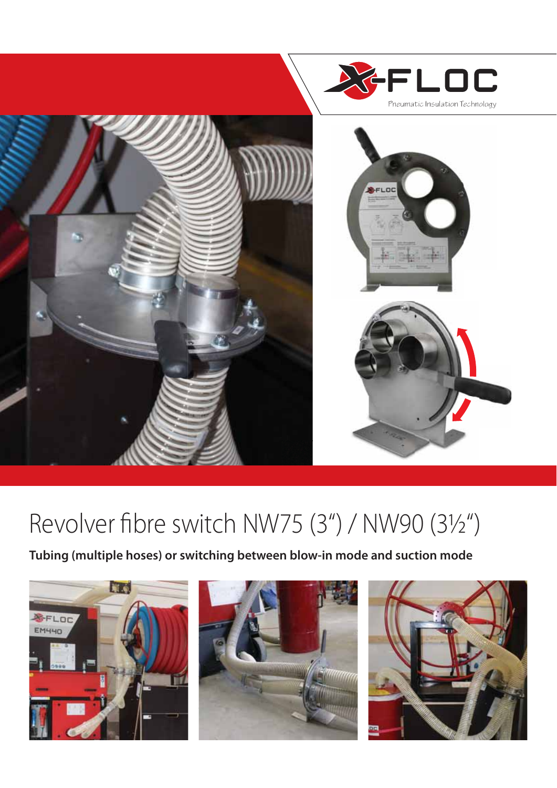

# Revolver fibre switch NW75 (3") / NW90 (31/2")

**Tubing (multiple hoses) or switching between blow-in mode and suction mode**





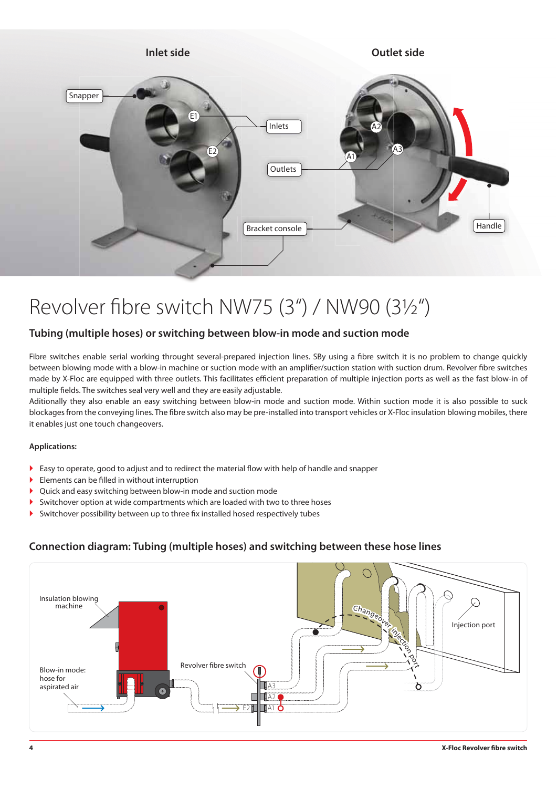

## Revolver fibre switch NW75 (3") / NW90 (31/2")

#### **Tubing (multiple hoses) or switching between blow-in mode and suction mode**

Fibre switches enable serial working throught several-prepared injection lines. SBy using a fibre switch it is no problem to change quickly between blowing mode with a blow-in machine or suction mode with an amplifier/suction station with suction drum. Revolver fibre switches made by X-Floc are equipped with three outlets. This facilitates efficient preparation of multiple injection ports as well as the fast blow-in of multiple fields. The switches seal very well and they are easily adjustable.

Aditionally they also enable an easy switching between blow-in mode and suction mode. Within suction mode it is also possible to suck blockages from the conveying lines. The fibre switch also may be pre-installed into transport vehicles or X-Floc insulation blowing mobiles, there it enables just one touch changeovers.

#### **Applications:**

- $\triangleright$  Easy to operate, good to adjust and to redirect the material flow with help of handle and snapper
- $\blacktriangleright$  Elements can be filled in without interruption
- ` Quick and easy switching between blow-in mode and suction mode
- $\blacktriangleright$  Switchover option at wide compartments which are loaded with two to three hoses
- $\blacktriangleright$  Switchover possibility between up to three fix installed hosed respectively tubes

#### **Connection diagram: Tubing (multiple hoses) and switching between these hose lines**

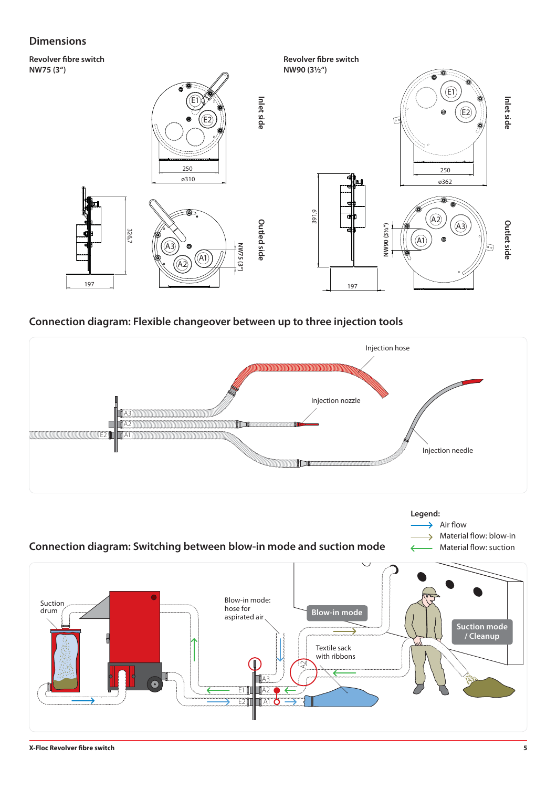### **Dimensions**

**Revolver fibre switch NW75 (3")**



#### **Connection diagram: Flexible changeover between up to three injection tools**



**E1 | | | | | | A2 TTAT** 

E2**m** 

A3